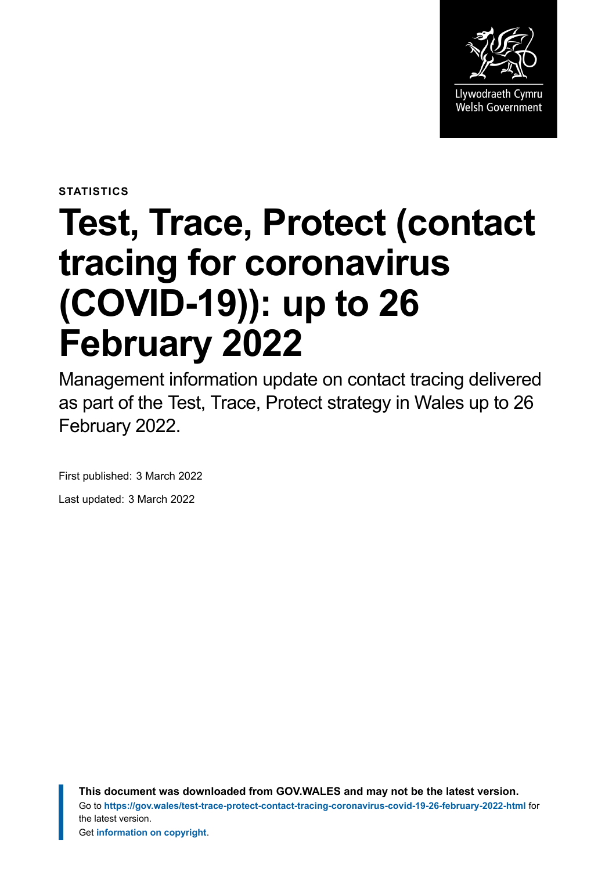

**STATISTICS**

# **Test, Trace, Protect (contact tracing for coronavirus (COVID-19)): up to 26 February 2022**

Management information update on contact tracing delivered as part of the Test, Trace, Protect strategy in Wales up to 26 February 2022.

First published: 3 March 2022

Last updated: 3 March 2022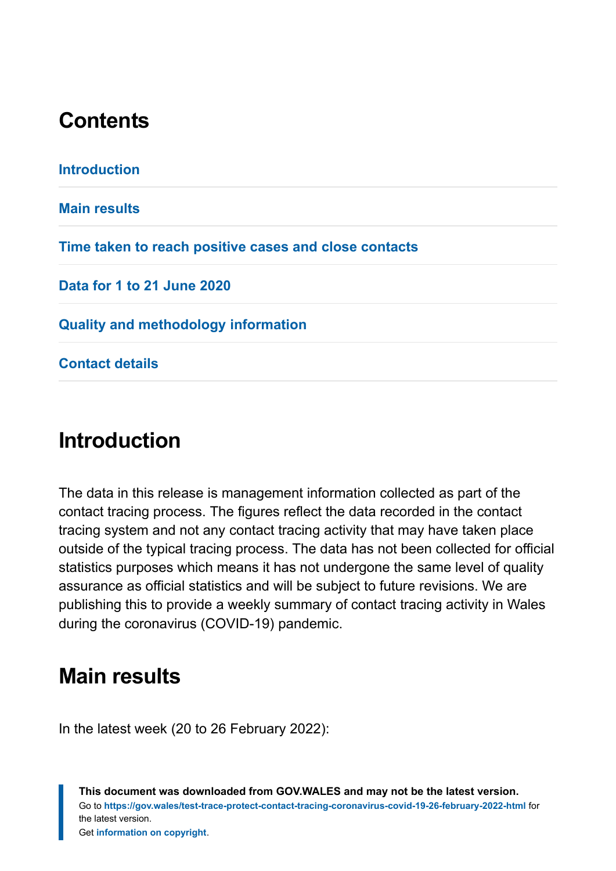### **Contents**

**[Introduction](#page-1-0) [Main results](#page-1-1) [Time taken to reach positive cases and close contacts](#page-7-0) [Data for 1 to 21 June 2020](#page-8-0) [Quality and methodology information](#page-9-0) [Contact details](#page-18-0)**

### <span id="page-1-0"></span>**Introduction**

The data in this release is management information collected as part of the contact tracing process. The figures reflect the data recorded in the contact tracing system and not any contact tracing activity that may have taken place outside of the typical tracing process. The data has not been collected for official statistics purposes which means it has not undergone the same level of quality assurance as official statistics and will be subject to future revisions. We are publishing this to provide a weekly summary of contact tracing activity in Wales during the coronavirus (COVID-19) pandemic.

### <span id="page-1-1"></span>**Main results**

In the latest week (20 to 26 February 2022):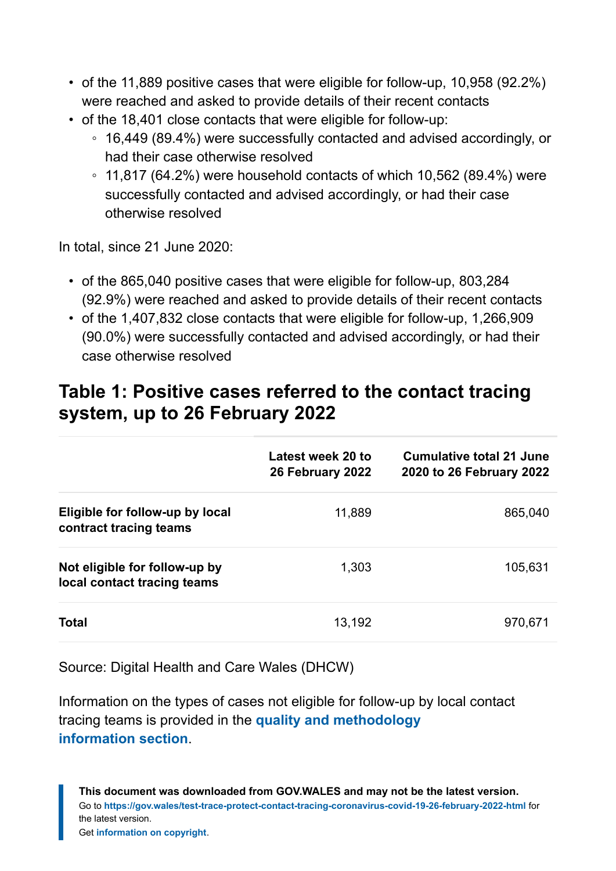- of the 11,889 positive cases that were eligible for follow-up, 10,958 (92.2%) were reached and asked to provide details of their recent contacts
- of the 18,401 close contacts that were eligible for follow-up:
	- 16,449 (89.4%) were successfully contacted and advised accordingly, or had their case otherwise resolved
	- 11,817 (64.2%) were household contacts of which 10,562 (89.4%) were successfully contacted and advised accordingly, or had their case otherwise resolved

In total, since 21 June 2020:

- of the 865,040 positive cases that were eligible for follow-up, 803,284 (92.9%) were reached and asked to provide details of their recent contacts
- of the 1,407,832 close contacts that were eligible for follow-up, 1,266,909 (90.0%) were successfully contacted and advised accordingly, or had their case otherwise resolved

### **Table 1: Positive cases referred to the contact tracing system, up to 26 February 2022**

|                                                              | Latest week 20 to<br>26 February 2022 | Cumulative total 21 June<br>2020 to 26 February 2022 |
|--------------------------------------------------------------|---------------------------------------|------------------------------------------------------|
| Eligible for follow-up by local<br>contract tracing teams    | 11,889                                | 865,040                                              |
| Not eligible for follow-up by<br>local contact tracing teams | 1,303                                 | 105,631                                              |
| Total                                                        | 13,192                                | 970,671                                              |

Source: Digital Health and Care Wales (DHCW)

Information on the types of cases not eligible for follow-up by local contact tracing teams is provided in the **[quality and methodology](#page-9-0) [information](#page-9-0) section**.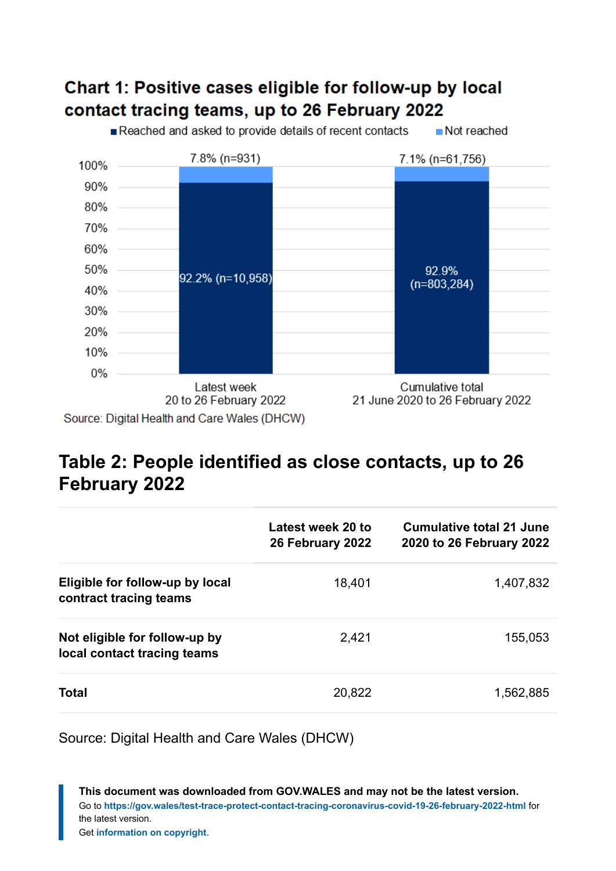### Chart 1: Positive cases eligible for follow-up by local contact tracing teams, up to 26 February 2022

Reached and asked to provide details of recent contacts Not reached



### **Table 2: People identified as close contacts, up to 26 February 2022**

|                                                              | Latest week 20 to<br>26 February 2022 | <b>Cumulative total 21 June</b><br>2020 to 26 February 2022 |
|--------------------------------------------------------------|---------------------------------------|-------------------------------------------------------------|
| Eligible for follow-up by local<br>contract tracing teams    | 18,401                                | 1,407,832                                                   |
| Not eligible for follow-up by<br>local contact tracing teams | 2,421                                 | 155,053                                                     |
| <b>Total</b>                                                 | 20,822                                | 1,562,885                                                   |

Source: Digital Health and Care Wales (DHCW)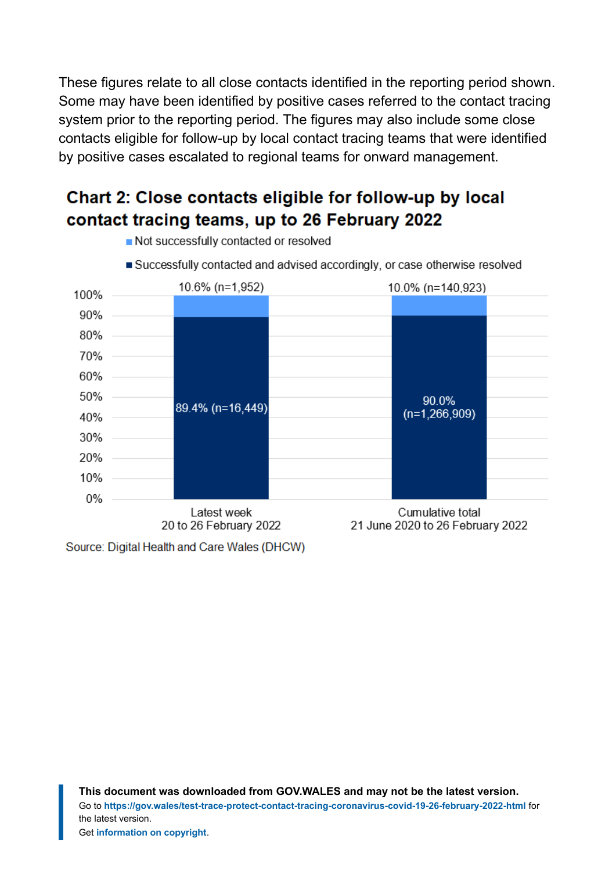These figures relate to all close contacts identified in the reporting period shown. Some may have been identified by positive cases referred to the contact tracing system prior to the reporting period. The figures may also include some close contacts eligible for follow-up by local contact tracing teams that were identified by positive cases escalated to regional teams for onward management.

#### Chart 2: Close contacts eligible for follow-up by local contact tracing teams, up to 26 February 2022



- Not successfully contacted or resolved
- Successfully contacted and advised accordingly, or case otherwise resolved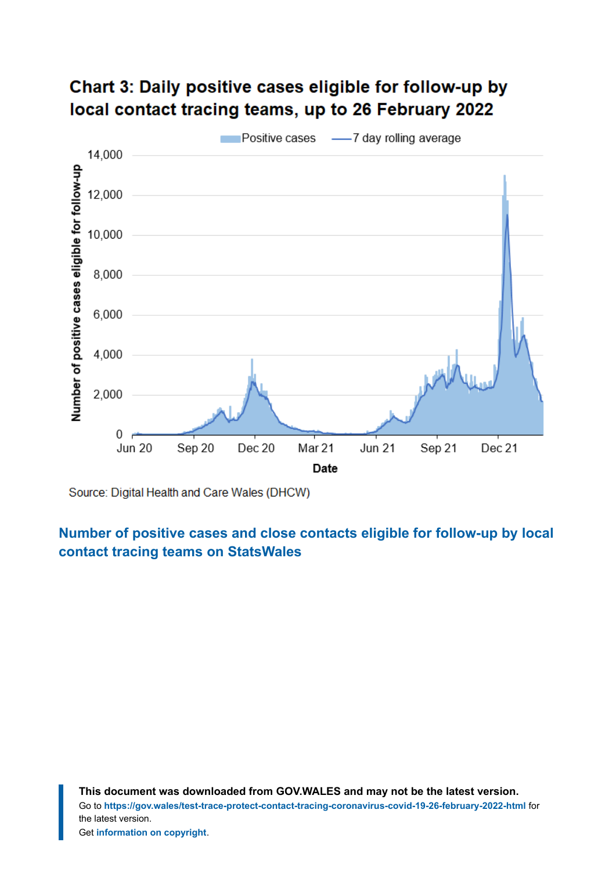

#### Chart 3: Daily positive cases eligible for follow-up by local contact tracing teams, up to 26 February 2022

Source: Digital Health and Care Wales (DHCW)

**[Number of positive cases and close contacts eligible for follow-up by local](https://statswales.gov.wales/Catalogue/Health-and-Social-Care/coronavirus-covid-19/contact-tracing-for-coronavirus-covid-19/numberofpositivecasesandclosecontactseligibleforfollowup-by-localcontacttracingteams?_ga=2.103231744.1294093220.1646031937-1086771297.1619441781) [contact tracing teams](https://statswales.gov.wales/Catalogue/Health-and-Social-Care/coronavirus-covid-19/contact-tracing-for-coronavirus-covid-19/numberofpositivecasesandclosecontactseligibleforfollowup-by-localcontacttracingteams?_ga=2.103231744.1294093220.1646031937-1086771297.1619441781) on StatsWales**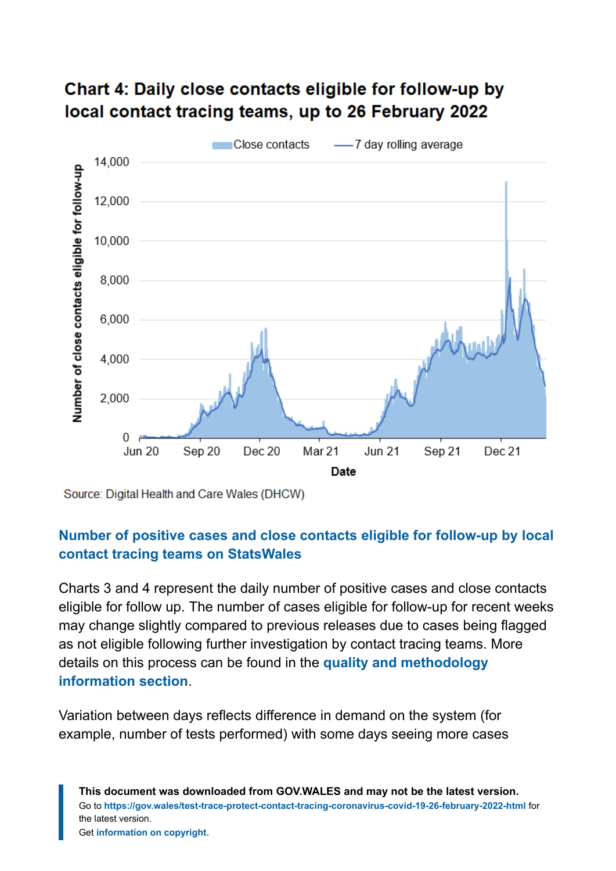

### Chart 4: Daily close contacts eligible for follow-up by local contact tracing teams, up to 26 February 2022

Source: Digital Health and Care Wales (DHCW)

#### **[Number of positive cases and close contacts eligible for follow-up by local](https://statswales.gov.wales/Catalogue/Health-and-Social-Care/coronavirus-covid-19/contact-tracing-for-coronavirus-covid-19/numberofpositivecasesandclosecontactseligibleforfollowup-by-localcontacttracingteams?_ga=2.216589840.744232592.1644220899-1086771297.1619441781) [contact tracing teams](https://statswales.gov.wales/Catalogue/Health-and-Social-Care/coronavirus-covid-19/contact-tracing-for-coronavirus-covid-19/numberofpositivecasesandclosecontactseligibleforfollowup-by-localcontacttracingteams?_ga=2.216589840.744232592.1644220899-1086771297.1619441781) on StatsWales**

Charts 3 and 4 represent the daily number of positive cases and close contacts eligible for follow up. The number of cases eligible for follow-up for recent weeks may change slightly compared to previous releases due to cases being flagged as not eligible following further investigation by contact tracing teams. More details on this process can be found in the **[quality and methodology](#page-9-0) [information](#page-9-0) section**.

Variation between days reflects difference in demand on the system (for example, number of tests performed) with some days seeing more cases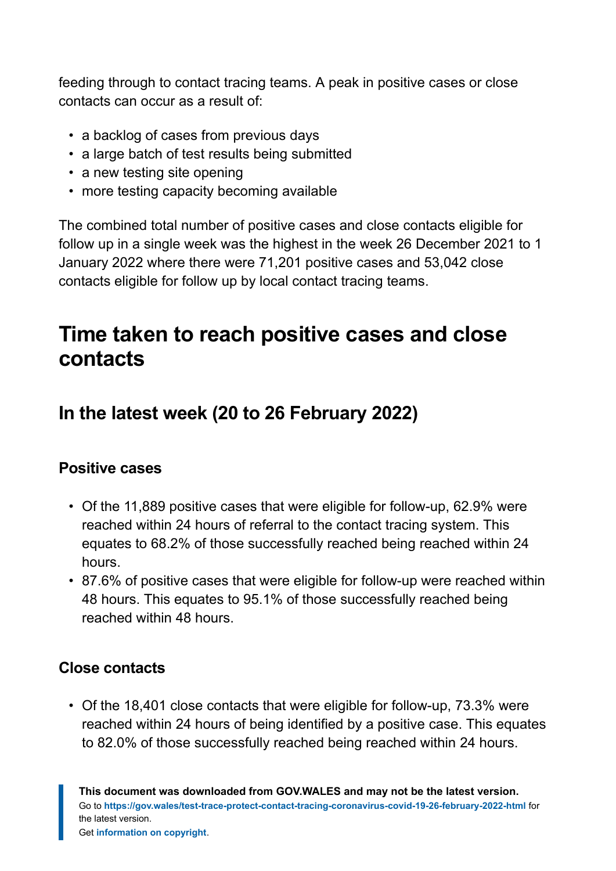feeding through to contact tracing teams. A peak in positive cases or close contacts can occur as a result of:

- a backlog of cases from previous days
- a large batch of test results being submitted
- a new testing site opening
- more testing capacity becoming available

The combined total number of positive cases and close contacts eligible for follow up in a single week was the highest in the week 26 December 2021 to 1 January 2022 where there were 71,201 positive cases and 53,042 close contacts eligible for follow up by local contact tracing teams.

### <span id="page-7-0"></span>**Time taken to reach positive cases and close contacts**

### **In the latest week (20 to 26 February 2022)**

#### **Positive cases**

- Of the 11,889 positive cases that were eligible for follow-up, 62.9% were reached within 24 hours of referral to the contact tracing system. This equates to 68.2% of those successfully reached being reached within 24 hours.
- 87.6% of positive cases that were eligible for follow-up were reached within 48 hours. This equates to 95.1% of those successfully reached being reached within 48 hours.

#### **Close contacts**

• Of the 18,401 close contacts that were eligible for follow-up, 73.3% were reached within 24 hours of being identified by a positive case. This equates to 82.0% of those successfully reached being reached within 24 hours.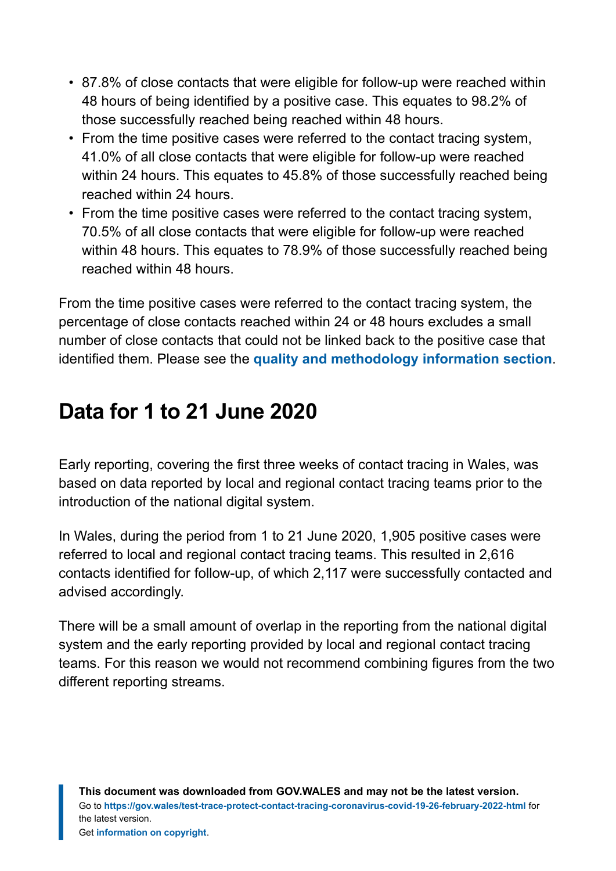- 87.8% of close contacts that were eligible for follow-up were reached within 48 hours of being identified by a positive case. This equates to 98.2% of those successfully reached being reached within 48 hours.
- From the time positive cases were referred to the contact tracing system, 41.0% of all close contacts that were eligible for follow-up were reached within 24 hours. This equates to 45.8% of those successfully reached being reached within 24 hours.
- From the time positive cases were referred to the contact tracing system, 70.5% of all close contacts that were eligible for follow-up were reached within 48 hours. This equates to 78.9% of those successfully reached being reached within 48 hours.

From the time positive cases were referred to the contact tracing system, the percentage of close contacts reached within 24 or 48 hours excludes a small number of close contacts that could not be linked back to the positive case that identified them. Please see the **[quality and methodology information](#page-9-0) section**.

# <span id="page-8-0"></span>**Data for 1 to 21 June 2020**

Early reporting, covering the first three weeks of contact tracing in Wales, was based on data reported by local and regional contact tracing teams prior to the introduction of the national digital system.

In Wales, during the period from 1 to 21 June 2020, 1,905 positive cases were referred to local and regional contact tracing teams. This resulted in 2,616 contacts identified for follow-up, of which 2,117 were successfully contacted and advised accordingly.

There will be a small amount of overlap in the reporting from the national digital system and the early reporting provided by local and regional contact tracing teams. For this reason we would not recommend combining figures from the two different reporting streams.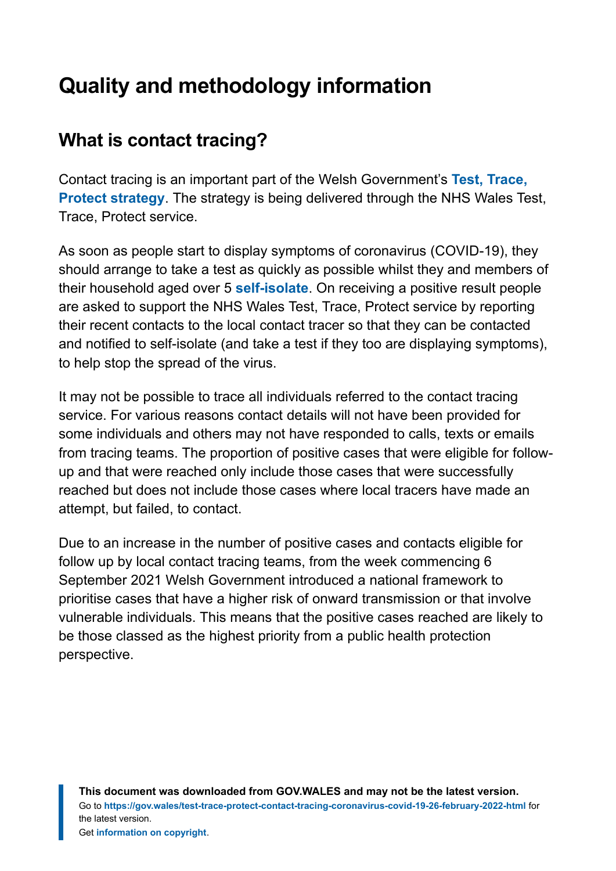# <span id="page-9-0"></span>**Quality and methodology information**

### **What is contact tracing?**

Contact tracing is an important part of the Welsh Government's **[Test, Trace,](https://gov.wales/test-trace-protect) [Protect strategy](https://gov.wales/test-trace-protect)**. The strategy is being delivered through the NHS Wales Test, Trace, Protect service.

As soon as people start to display symptoms of coronavirus (COVID-19), they should arrange to take a test as quickly as possible whilst they and members of their household aged over 5 **[self-isolate](https://gov.wales/self-isolation)**. On receiving a positive result people are asked to support the NHS Wales Test, Trace, Protect service by reporting their recent contacts to the local contact tracer so that they can be contacted and notified to self-isolate (and take a test if they too are displaying symptoms), to help stop the spread of the virus.

It may not be possible to trace all individuals referred to the contact tracing service. For various reasons contact details will not have been provided for some individuals and others may not have responded to calls, texts or emails from tracing teams. The proportion of positive cases that were eligible for followup and that were reached only include those cases that were successfully reached but does not include those cases where local tracers have made an attempt, but failed, to contact.

Due to an increase in the number of positive cases and contacts eligible for follow up by local contact tracing teams, from the week commencing 6 September 2021 Welsh Government introduced a national framework to prioritise cases that have a higher risk of onward transmission or that involve vulnerable individuals. This means that the positive cases reached are likely to be those classed as the highest priority from a public health protection perspective.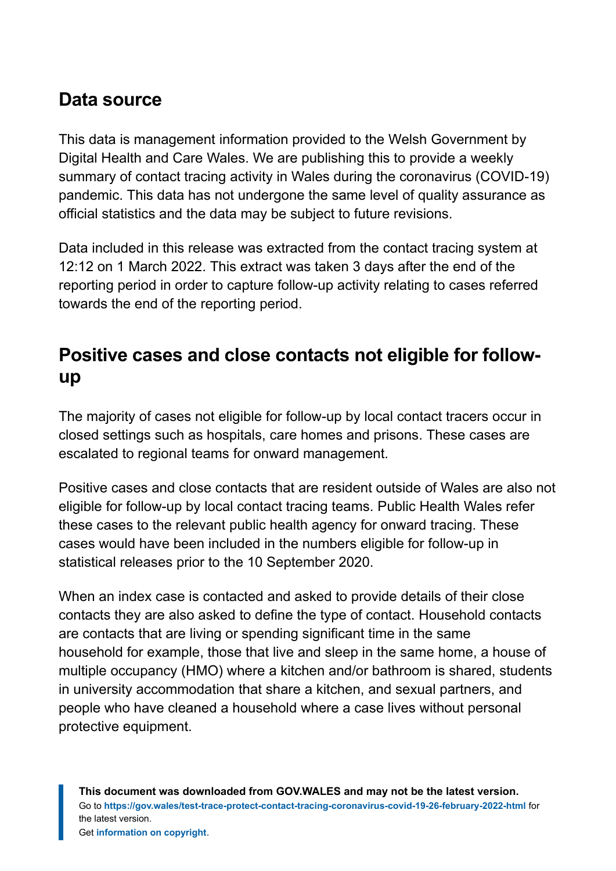### **Data source**

This data is management information provided to the Welsh Government by Digital Health and Care Wales. We are publishing this to provide a weekly summary of contact tracing activity in Wales during the coronavirus (COVID-19) pandemic. This data has not undergone the same level of quality assurance as official statistics and the data may be subject to future revisions.

Data included in this release was extracted from the contact tracing system at 12:12 on 1 March 2022. This extract was taken 3 days after the end of the reporting period in order to capture follow-up activity relating to cases referred towards the end of the reporting period.

### **Positive cases and close contacts not eligible for followup**

The majority of cases not eligible for follow-up by local contact tracers occur in closed settings such as hospitals, care homes and prisons. These cases are escalated to regional teams for onward management.

Positive cases and close contacts that are resident outside of Wales are also not eligible for follow-up by local contact tracing teams. Public Health Wales refer these cases to the relevant public health agency for onward tracing. These cases would have been included in the numbers eligible for follow-up in statistical releases prior to the 10 September 2020.

When an index case is contacted and asked to provide details of their close contacts they are also asked to define the type of contact. Household contacts are contacts that are living or spending significant time in the same household for example, those that live and sleep in the same home, a house of multiple occupancy (HMO) where a kitchen and/or bathroom is shared, students in university accommodation that share a kitchen, and sexual partners, and people who have cleaned a household where a case lives without personal protective equipment.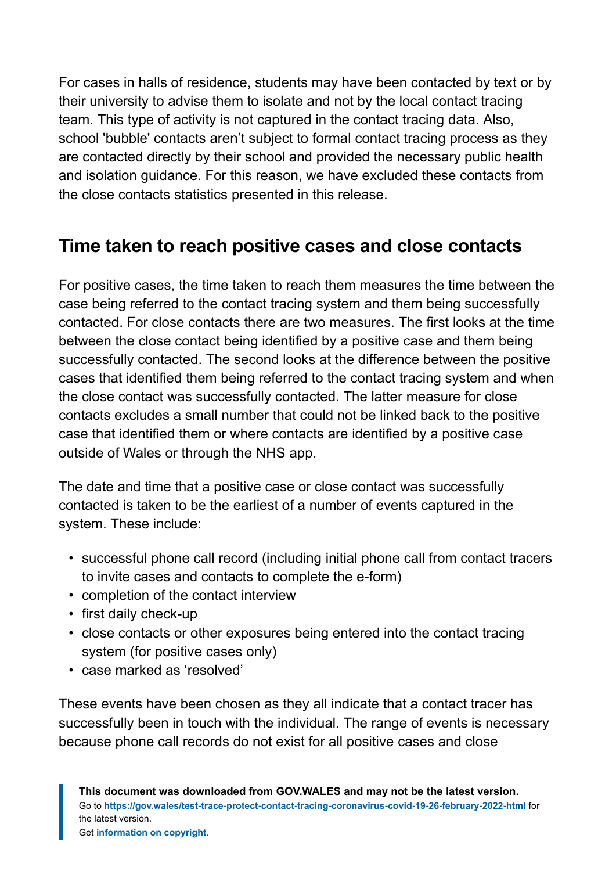For cases in halls of residence, students may have been contacted by text or by their university to advise them to isolate and not by the local contact tracing team. This type of activity is not captured in the contact tracing data. Also, school 'bubble' contacts aren't subject to formal contact tracing process as they are contacted directly by their school and provided the necessary public health and isolation guidance. For this reason, we have excluded these contacts from the close contacts statistics presented in this release.

### **Time taken to reach positive cases and close contacts**

For positive cases, the time taken to reach them measures the time between the case being referred to the contact tracing system and them being successfully contacted. For close contacts there are two measures. The first looks at the time between the close contact being identified by a positive case and them being successfully contacted. The second looks at the difference between the positive cases that identified them being referred to the contact tracing system and when the close contact was successfully contacted. The latter measure for close contacts excludes a small number that could not be linked back to the positive case that identified them or where contacts are identified by a positive case outside of Wales or through the NHS app.

The date and time that a positive case or close contact was successfully contacted is taken to be the earliest of a number of events captured in the system. These include:

- successful phone call record (including initial phone call from contact tracers to invite cases and contacts to complete the e-form)
- completion of the contact interview
- first daily check-up
- close contacts or other exposures being entered into the contact tracing system (for positive cases only)
- case marked as 'resolved'

These events have been chosen as they all indicate that a contact tracer has successfully been in touch with the individual. The range of events is necessary because phone call records do not exist for all positive cases and close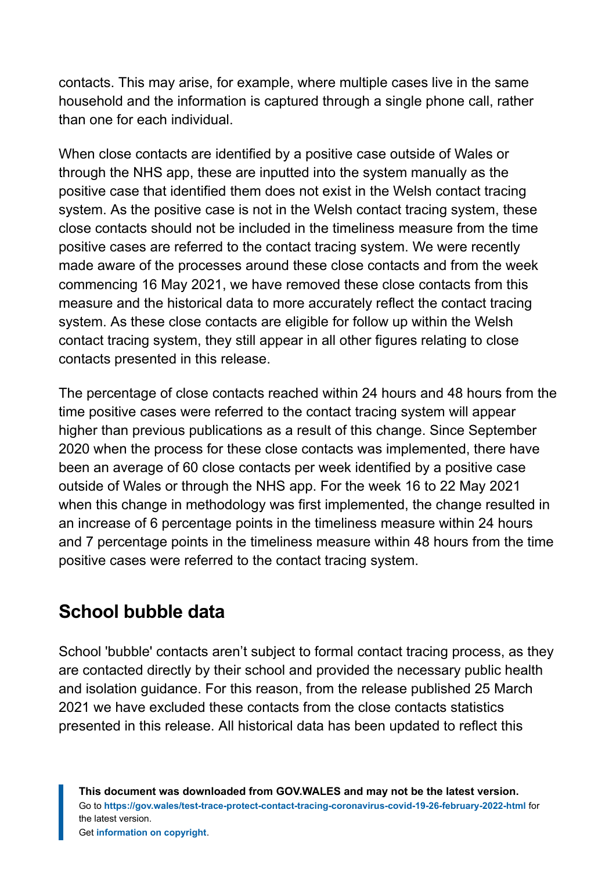contacts. This may arise, for example, where multiple cases live in the same household and the information is captured through a single phone call, rather than one for each individual.

When close contacts are identified by a positive case outside of Wales or through the NHS app, these are inputted into the system manually as the positive case that identified them does not exist in the Welsh contact tracing system. As the positive case is not in the Welsh contact tracing system, these close contacts should not be included in the timeliness measure from the time positive cases are referred to the contact tracing system. We were recently made aware of the processes around these close contacts and from the week commencing 16 May 2021, we have removed these close contacts from this measure and the historical data to more accurately reflect the contact tracing system. As these close contacts are eligible for follow up within the Welsh contact tracing system, they still appear in all other figures relating to close contacts presented in this release.

The percentage of close contacts reached within 24 hours and 48 hours from the time positive cases were referred to the contact tracing system will appear higher than previous publications as a result of this change. Since September 2020 when the process for these close contacts was implemented, there have been an average of 60 close contacts per week identified by a positive case outside of Wales or through the NHS app. For the week 16 to 22 May 2021 when this change in methodology was first implemented, the change resulted in an increase of 6 percentage points in the timeliness measure within 24 hours and 7 percentage points in the timeliness measure within 48 hours from the time positive cases were referred to the contact tracing system.

### **School bubble data**

School 'bubble' contacts aren't subject to formal contact tracing process, as they are contacted directly by their school and provided the necessary public health and isolation guidance. For this reason, from the release published 25 March 2021 we have excluded these contacts from the close contacts statistics presented in this release. All historical data has been updated to reflect this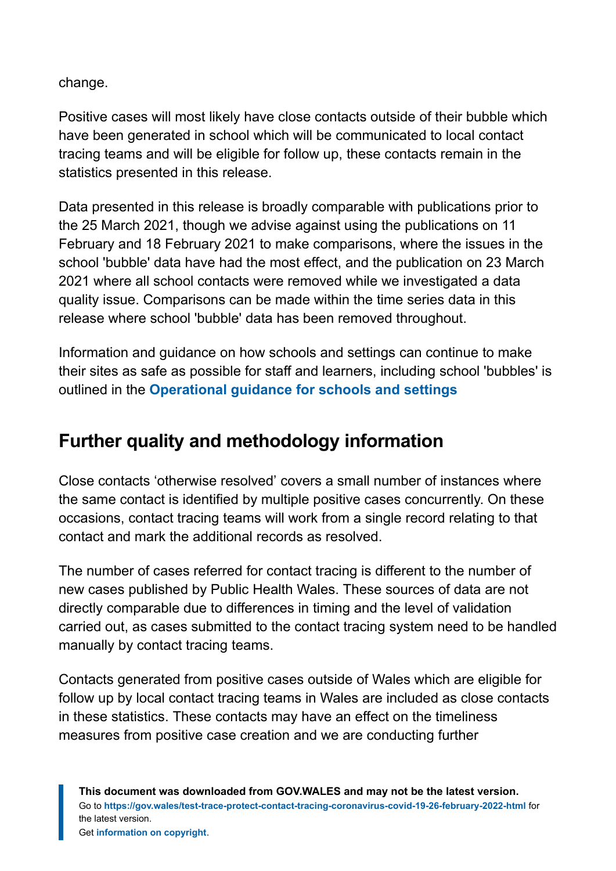change.

Positive cases will most likely have close contacts outside of their bubble which have been generated in school which will be communicated to local contact tracing teams and will be eligible for follow up, these contacts remain in the statistics presented in this release.

Data presented in this release is broadly comparable with publications prior to the 25 March 2021, though we advise against using the publications on 11 February and 18 February 2021 to make comparisons, where the issues in the school 'bubble' data have had the most effect, and the publication on 23 March 2021 where all school contacts were removed while we investigated a data quality issue. Comparisons can be made within the time series data in this release where school 'bubble' data has been removed throughout.

Information and guidance on how schools and settings can continue to make their sites as safe as possible for staff and learners, including school 'bubbles' is outlined in the **[Operational guidance for schools and settings](https://gov.wales/node/38016)**

### **Further quality and methodology information**

Close contacts 'otherwise resolved' covers a small number of instances where the same contact is identified by multiple positive cases concurrently. On these occasions, contact tracing teams will work from a single record relating to that contact and mark the additional records as resolved.

The number of cases referred for contact tracing is different to the number of new cases published by Public Health Wales. These sources of data are not directly comparable due to differences in timing and the level of validation carried out, as cases submitted to the contact tracing system need to be handled manually by contact tracing teams.

Contacts generated from positive cases outside of Wales which are eligible for follow up by local contact tracing teams in Wales are included as close contacts in these statistics. These contacts may have an effect on the timeliness measures from positive case creation and we are conducting further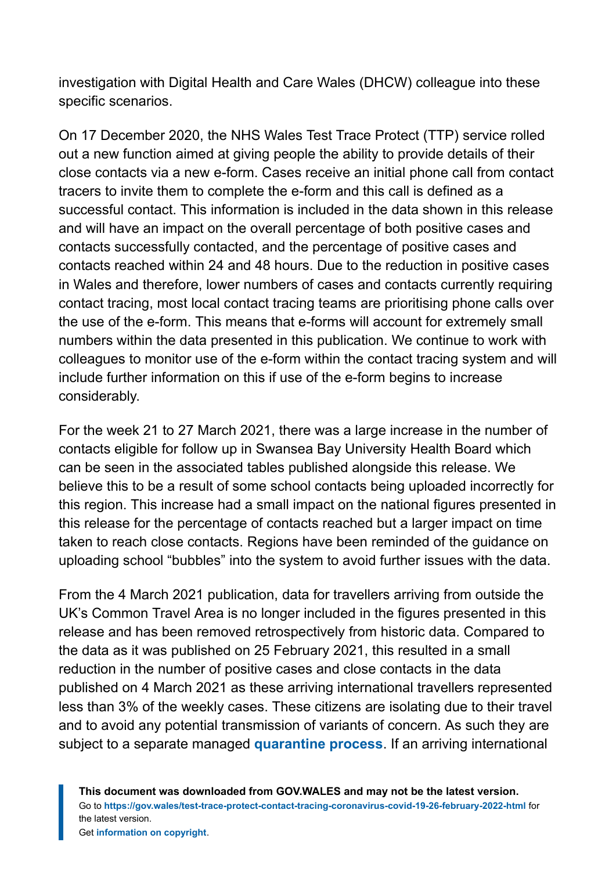investigation with Digital Health and Care Wales (DHCW) colleague into these specific scenarios.

On 17 December 2020, the NHS Wales Test Trace Protect (TTP) service rolled out a new function aimed at giving people the ability to provide details of their close contacts via a new e-form. Cases receive an initial phone call from contact tracers to invite them to complete the e-form and this call is defined as a successful contact. This information is included in the data shown in this release and will have an impact on the overall percentage of both positive cases and contacts successfully contacted, and the percentage of positive cases and contacts reached within 24 and 48 hours. Due to the reduction in positive cases in Wales and therefore, lower numbers of cases and contacts currently requiring contact tracing, most local contact tracing teams are prioritising phone calls over the use of the e-form. This means that e-forms will account for extremely small numbers within the data presented in this publication. We continue to work with colleagues to monitor use of the e-form within the contact tracing system and will include further information on this if use of the e-form begins to increase considerably.

For the week 21 to 27 March 2021, there was a large increase in the number of contacts eligible for follow up in Swansea Bay University Health Board which can be seen in the associated tables published alongside this release. We believe this to be a result of some school contacts being uploaded incorrectly for this region. This increase had a small impact on the national figures presented in this release for the percentage of contacts reached but a larger impact on time taken to reach close contacts. Regions have been reminded of the guidance on uploading school "bubbles" into the system to avoid further issues with the data.

From the 4 March 2021 publication, data for travellers arriving from outside the UK's Common Travel Area is no longer included in the figures presented in this release and has been removed retrospectively from historic data. Compared to the data as it was published on 25 February 2021, this resulted in a small reduction in the number of positive cases and close contacts in the data published on 4 March 2021 as these arriving international travellers represented less than 3% of the weekly cases. These citizens are isolating due to their travel and to avoid any potential transmission of variants of concern. As such they are subject to a separate managed **[quarantine process](https://gov.wales/how-isolate-when-you-travel-wales-coronavirus-covid-19)**. If an arriving international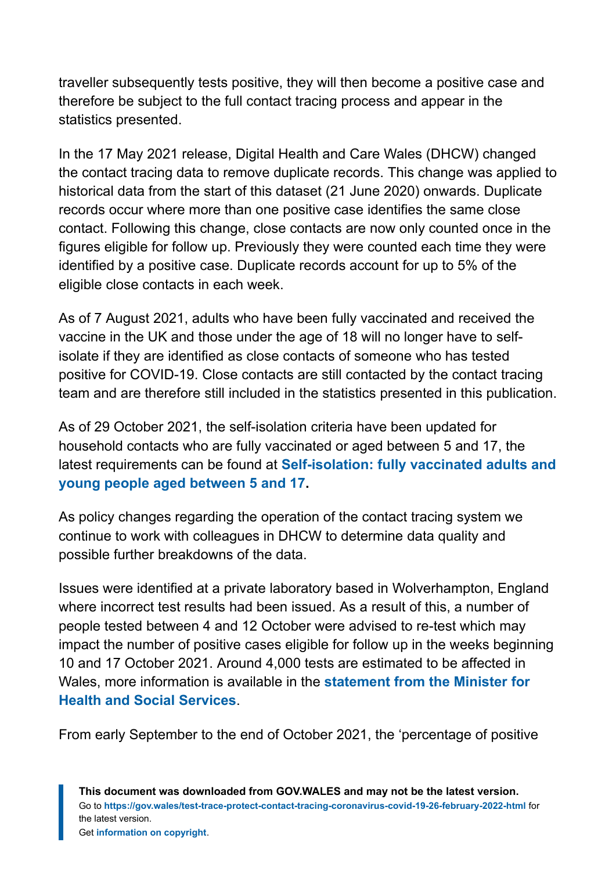traveller subsequently tests positive, they will then become a positive case and therefore be subject to the full contact tracing process and appear in the statistics presented.

In the 17 May 2021 release, Digital Health and Care Wales (DHCW) changed the contact tracing data to remove duplicate records. This change was applied to historical data from the start of this dataset (21 June 2020) onwards. Duplicate records occur where more than one positive case identifies the same close contact. Following this change, close contacts are now only counted once in the figures eligible for follow up. Previously they were counted each time they were identified by a positive case. Duplicate records account for up to 5% of the eligible close contacts in each week.

As of 7 August 2021, adults who have been fully vaccinated and received the vaccine in the UK and those under the age of 18 will no longer have to selfisolate if they are identified as close contacts of someone who has tested positive for COVID-19. Close contacts are still contacted by the contact tracing team and are therefore still included in the statistics presented in this publication.

As of 29 October 2021, the self-isolation criteria have been updated for household contacts who are fully vaccinated or aged between 5 and 17, the latest requirements can be found at **[Self-isolation: fully vaccinated adults and](https://eur01.safelinks.protection.outlook.com/?url=https%3A%2F%2Fgov.wales%2Fself-isolation%23section-83759&data=04%7C01%7CLisa.Bloemberg%40gov.wales%7C11b24c7619744c4b4b8608d9db45efb8%7Ca2cc36c592804ae78887d06dab89216b%7C0%7C0%7C637781915677040668%7CUnknown%7CTWFpbGZsb3d8eyJWIjoiMC4wLjAwMDAiLCJQIjoiV2luMzIiLCJBTiI6Ik1haWwiLCJXVCI6Mn0%3D%7C3000&sdata=OXcmQPRh7n3HA4acgO3apukDA8uXLR%2FRd019fXbuP7I%3D&reserved=0) [young people aged between 5 and 17](https://eur01.safelinks.protection.outlook.com/?url=https%3A%2F%2Fgov.wales%2Fself-isolation%23section-83759&data=04%7C01%7CLisa.Bloemberg%40gov.wales%7C11b24c7619744c4b4b8608d9db45efb8%7Ca2cc36c592804ae78887d06dab89216b%7C0%7C0%7C637781915677040668%7CUnknown%7CTWFpbGZsb3d8eyJWIjoiMC4wLjAwMDAiLCJQIjoiV2luMzIiLCJBTiI6Ik1haWwiLCJXVCI6Mn0%3D%7C3000&sdata=OXcmQPRh7n3HA4acgO3apukDA8uXLR%2FRd019fXbuP7I%3D&reserved=0).**

As policy changes regarding the operation of the contact tracing system we continue to work with colleagues in DHCW to determine data quality and possible further breakdowns of the data.

Issues were identified at a private laboratory based in Wolverhampton, England where incorrect test results had been issued. As a result of this, a number of people tested between 4 and 12 October were advised to re-test which may impact the number of positive cases eligible for follow up in the weeks beginning 10 and 17 October 2021. Around 4,000 tests are estimated to be affected in Wales, more information is available in the **[statement from the Minister for](https://gov.wales/written-statement-has-issued-update-welsh-residents-impacted-incorrect-covid-19-test-results) [Health and Social Services](https://gov.wales/written-statement-has-issued-update-welsh-residents-impacted-incorrect-covid-19-test-results)**.

From early September to the end of October 2021, the 'percentage of positive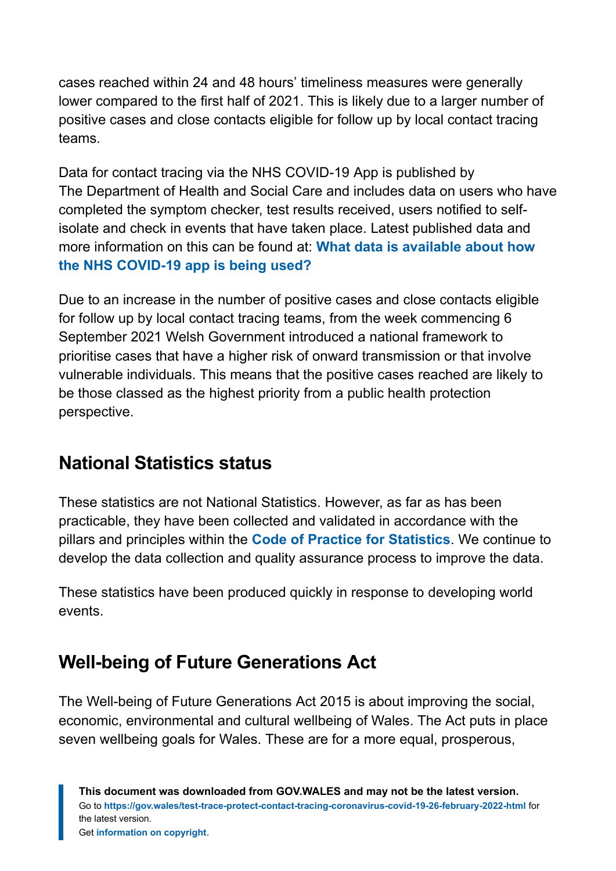cases reached within 24 and 48 hours' timeliness measures were generally lower compared to the first half of 2021. This is likely due to a larger number of positive cases and close contacts eligible for follow up by local contact tracing teams.

Data for contact tracing via the NHS COVID-19 App is published by The Department of Health and Social Care and includes data on users who have completed the symptom checker, test results received, users notified to selfisolate and check in events that have taken place. Latest published data and more information on this can be found at: **[What data is available about how](https://faq.covid19.nhs.uk/article/KA-01367) [the NHS COVID-19 app is being used?](https://faq.covid19.nhs.uk/article/KA-01367)**

Due to an increase in the number of positive cases and close contacts eligible for follow up by local contact tracing teams, from the week commencing 6 September 2021 Welsh Government introduced a national framework to prioritise cases that have a higher risk of onward transmission or that involve vulnerable individuals. This means that the positive cases reached are likely to be those classed as the highest priority from a public health protection perspective.

### **National Statistics status**

These statistics are not National Statistics. However, as far as has been practicable, they have been collected and validated in accordance with the pillars and principles within the **[Code of Practice for Statistics](https://code.statisticsauthority.gov.uk/)**. We continue to develop the data collection and quality assurance process to improve the data.

These statistics have been produced quickly in response to developing world events.

### **Well-being of Future Generations Act**

The Well-being of Future Generations Act 2015 is about improving the social, economic, environmental and cultural wellbeing of Wales. The Act puts in place seven wellbeing goals for Wales. These are for a more equal, prosperous,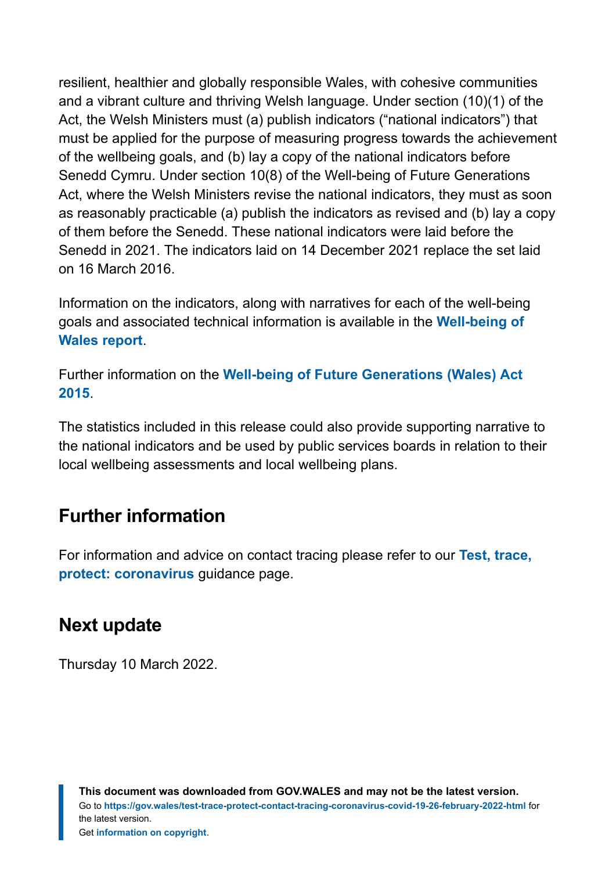resilient, healthier and globally responsible Wales, with cohesive communities and a vibrant culture and thriving Welsh language. Under section (10)(1) of the Act, the Welsh Ministers must (a) publish indicators ("national indicators") that must be applied for the purpose of measuring progress towards the achievement of the wellbeing goals, and (b) lay a copy of the national indicators before Senedd Cymru. Under section 10(8) of the Well-being of Future Generations Act, where the Welsh Ministers revise the national indicators, they must as soon as reasonably practicable (a) publish the indicators as revised and (b) lay a copy of them before the Senedd. These national indicators were laid before the Senedd in 2021. The indicators laid on 14 December 2021 replace the set laid on 16 March 2016.

Information on the indicators, along with narratives for each of the well-being goals and associated technical information is available in the **[Well-being of](https://gov.wales/wellbeing-wales) [Wales report](https://gov.wales/wellbeing-wales)**.

Further information on the **[Well-being of Future Generations \(Wales\) Act](https://gov.wales/well-being-future-generations-wales-act-2015-guidance) [2015](https://gov.wales/well-being-future-generations-wales-act-2015-guidance)**.

The statistics included in this release could also provide supporting narrative to the national indicators and be used by public services boards in relation to their local wellbeing assessments and local wellbeing plans.

### **Further information**

For information and advice on contact tracing please refer to our **[Test, trace,](https://gov.wales/test-trace-protect-coronavirus) [protect: coronavirus](https://gov.wales/test-trace-protect-coronavirus)** guidance page.

### **Next update**

Thursday 10 March 2022.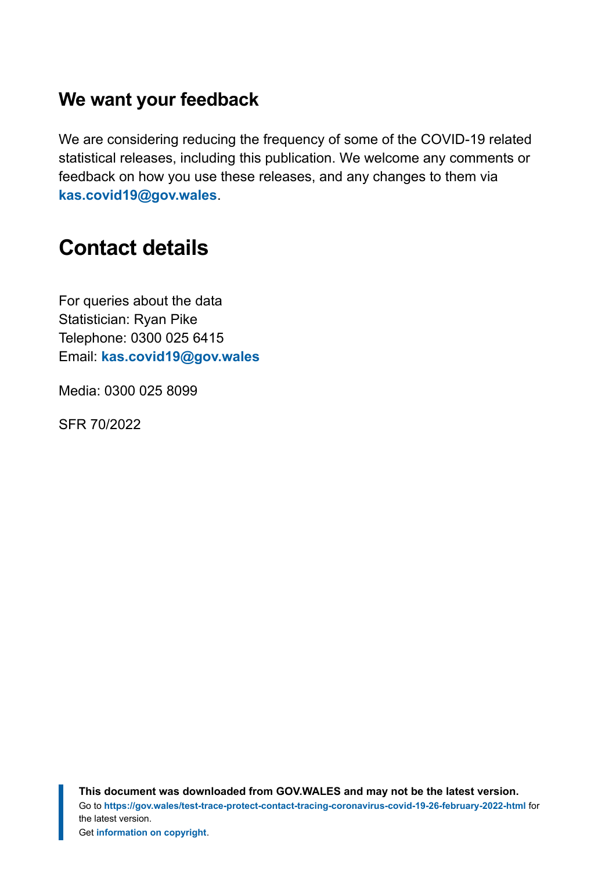#### **We want your feedback**

We are considering reducing the frequency of some of the COVID-19 related statistical releases, including this publication. We welcome any comments or feedback on how you use these releases, and any changes to them via **[kas.covid19@gov.wales](mailto:KAS.COVID19@gov.wales)**.

# <span id="page-18-0"></span>**Contact details**

For queries about the data Statistician: Ryan Pike Telephone: 0300 025 6415 Email: **[kas.covid19@gov.wales](mailto:kas.covid19@gov.wales)**

Media: 0300 025 8099

SFR 70/2022